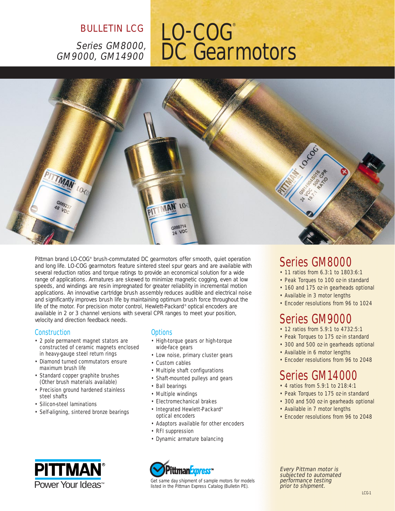# LO-COG® Series GM8000, **DC Gearmotors** GM9000, GM14900 BULLETIN LCG



Pittman brand LO-COG® brush-commutated DC gearmotors offer smooth, quiet operation and long life. LO-COG gearmotors feature sintered steel spur gears and are available with several reduction ratios and torque ratings to provide an economical solution for a wide range of applications. Armatures are skewed to minimize magnetic cogging, even at low speeds, and windings are resin impregnated for greater reliability in incremental motion applications. An innovative cartridge brush assembly reduces audible and electrical noise and significantly improves brush life by maintaining optimum brush force throughout the life of the motor. For precision motor control, Hewlett-Packard® optical encoders are available in 2 or 3 channel versions with several CPR ranges to meet your position, velocity and direction feedback needs.

#### **Construction**

- 2 pole permanent magnet stators are constructed of ceramic magnets enclosed in heavy-gauge steel return rings
- Diamond turned commutators ensure maximum brush life
- Standard copper graphite brushes (Other brush materials available)
- Precision ground hardened stainless steel shafts
- Silicon-steel laminations
- Self-aligning, sintered bronze bearings

#### **Options**

- High-torque gears or high-torque wide-face gears
- Low noise, primary cluster gears
- Custom cables
- Multiple shaft configurations
- Shaft-mounted pulleys and gears
- Ball bearings
- Multiple windings
- Electromechanical brakes
- Integrated Hewlett-Packard® optical encoders
- Adaptors available for other encoders
- RFI suppression
- Dynamic armature balancing



'ittman*txpres*s"

Get same day shipment of sample motors for models listed in the Pittman Express Catalog (Bulletin PE).

# Series GM8000

- 11 ratios from 6.3:1 to 1803:6:1
- Peak Torques to 100 oz·in standard
- 160 and 175 oz·in gearheads optional
- Available in 3 motor lengths
- Encoder resolutions from 96 to 1024

# Series GM9000

- 12 ratios from 5.9:1 to 4732:5:1
- Peak Torques to 175 oz·in standard
	- 300 and 500 oz·in gearheads optional
	- Available in 6 motor lengths
- Encoder resolutions from 96 to 2048

# Series GM14000

- 4 ratios from 5.9:1 to 218:4:1
- Peak Torques to 175 oz·in standard
- 300 and 500 oz·in gearheads optional
- Available in 7 motor lengths
- Encoder resolutions from 96 to 2048

Every Pittman motor is subjected to automated performance testing prior to shipment.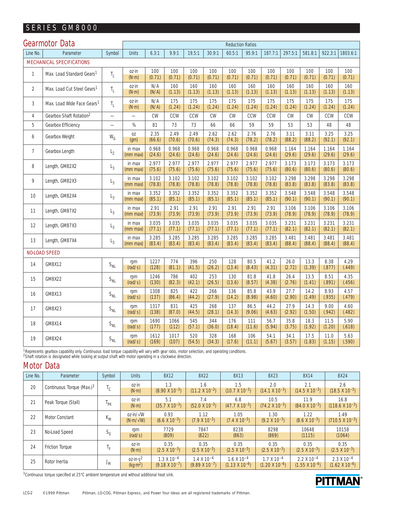|                | <b>Gearmotor Data</b>                  |                            |                           |                 |                 |                 |                 | <b>Reduction Ratios</b> |                 |                 |                 |                 |                 |                 |
|----------------|----------------------------------------|----------------------------|---------------------------|-----------------|-----------------|-----------------|-----------------|-------------------------|-----------------|-----------------|-----------------|-----------------|-----------------|-----------------|
| Line No.       | Parameter                              | Symbol                     | <b>Units</b>              | 6.3:1           | 9.9:1           | 19.5:1          | 30.9:1          | 60.5:1                  | 95.9:1          | 187.7:1         | 297.5:1         | 581.8:1         | 922.3:1         | 1803.6:1        |
|                | <b>MECHANICAL SPECIFICATIONS</b>       |                            |                           |                 |                 |                 |                 |                         |                 |                 |                 |                 |                 |                 |
| $\mathbf{1}$   | Max. Load Standard Gears <sup>1</sup>  | $T_{L}$                    | $OZ·$ in<br>(N·m)         | 100<br>(0.71)   | 100<br>(0.71)   | 100<br>(0.71)   | 100<br>(0.71)   | 100<br>(0.71)           | 100<br>(0.71)   | 100<br>(0.71)   | 100<br>(0.71)   | 100<br>(0.71)   | 100<br>(0.71)   | 100<br>(0.71)   |
| $\overline{2}$ | Max. Load Cut Steel Gears <sup>1</sup> | $T_{L}$                    | $OZ·$ in<br>$(N \cdot m)$ | N/A<br>(N/A)    | 160<br>(1.13)   | 160<br>(1.13)   | 160<br>(1.13)   | 160<br>(1.13)           | 160<br>(1.13)   | 160<br>(1.13)   | 160<br>(1.13)   | 160<br>(1.13)   | 160<br>(1.13)   | 160<br>(1.13)   |
| 3              | Max. Load Wide Face Gears <sup>1</sup> | $\mathsf{T}_{\mathsf{L}}$  | $OZ·$ in<br>$(N \cdot m)$ | N/A<br>(N/A)    | 175<br>(1.24)   | 175<br>(1.24)   | 175<br>(1.24)   | 175<br>(1.24)           | 175<br>(1.24)   | 175<br>(1.24)   | 175<br>(1.24)   | 175<br>(1.24)   | 175<br>(1.24)   | 175<br>(1.24)   |
| $\overline{4}$ | Gearbox Shaft Rotation <sup>2</sup>    | $\overline{\phantom{0}}$   |                           | <b>CW</b>       | CCW             | CCW             | <b>CW</b>       | <b>CW</b>               | CCW             | CCW             | <b>CW</b>       | <b>CW</b>       | CCW             | CCW             |
| 5              | Gearbox Efficiency                     | $\overline{\phantom{0}}$   | %                         | 81              | 73              | 73              | 66              | 66                      | 59              | 59              | 53              | 53              | 48              | 48              |
| 6              | Gearbox Weight                         | $W_G$                      | OZ<br>(gm)                | 2.35<br>(66.6)  | 2.49<br>(70.6)  | 2.49<br>(70.6)  | 2.62<br>(74.3)  | 2.62<br>(74.3)          | 2.76<br>(78.2)  | 2.76<br>(78.2)  | 3.11<br>(88.2)  | 3.11<br>(88.2)  | 3.25<br>(92.1)  | 3.25<br>(92.1)  |
| $\overline{7}$ | Gearbox Length                         | $L_2$                      | in max<br>(mm max)        | 0.968<br>(24.6) | 0.968<br>(24.6) | 0.968<br>(24.6) | 0.968<br>(24.6) | 0.968<br>(24.6)         | 0.968<br>(24.6) | 0.968<br>(24.6) | 1.164<br>(29.6) | 1.164<br>(29.6) | 1.164<br>(29.6) | 1.164<br>(29.6) |
| 8              | Length, GM82X2                         | $L_3$                      | in max<br>(mm max)        | 2.977<br>(75.6) | 2.977<br>(75.6) | 2.977<br>(75.6) | 2.977<br>(75.6) | 2.977<br>(75.6)         | 2.977<br>(75.6) | 2.977<br>(75.6) | 3.173<br>(80.6) | 3.173<br>(80.6) | 3.173<br>(80.6) | 3.173<br>(80.6) |
| 9              | Length, GM82X3                         | $L_3$                      | in max<br>(mm max)        | 3.102<br>(78.8) | 3.102<br>(78.8) | 3.102<br>(78.8) | 3.102<br>(78.8) | 3.102<br>(78.8)         | 3.102<br>(78.8) | 3.102<br>(78.8) | 3.298<br>(83.8) | 3.298<br>(83.8) | 3.298<br>(83.8) | 3.298<br>(83.8) |
| 10             | Length, GM82X4                         | $L_3$                      | in max<br>(mm max)        | 3.352<br>(85.1) | 3.352<br>(85.1) | 3.352<br>(85.1) | 3.352<br>(85.1) | 3.352<br>(85.1)         | 3.352<br>(85.1) | 3.352<br>(85.1) | 3.548<br>(90.1) | 3.548<br>(90.1) | 3.548<br>(90.1) | 3.548<br>(90.1) |
| 11             | Length, GM87X2                         | $L_3$                      | in max<br>(mm max)        | 2.91<br>(73.9)  | 2.91<br>(73.9)  | 2.91<br>(73.9)  | 2.91<br>(73.9)  | 2.91<br>(73.9)          | 2.91<br>(73.9)  | 2.91<br>(73.9)  | 3.106<br>(78.9) | 3.106<br>(78.9) | 3.106<br>(78.9) | 3.106<br>(78.9) |
| 12             | Length, GM87X3                         | $L_3$                      | in max<br>(mm max)        | 3.035<br>(77.1) | 3.035<br>(77.1) | 3.035<br>(77.1) | 3.035<br>(77.1) | 3.035<br>(77.1)         | 3.035<br>(77.1) | 3.035<br>(77.1) | 3.231<br>(82.1) | 3.231<br>(82.1) | 3.231<br>(82.1) | 3.231<br>(82.1) |
| 13             | Length, GM87X4                         | $L_3$                      | in max<br>(mm max)        | 3.285<br>(83.4) | 3.285<br>(83.4) | 3.285<br>(83.4) | 3.285<br>(83.4) | 3.285<br>(83.4)         | 3.285<br>(83.4) | 3.285<br>(83.4) | 3.481<br>(88.4) | 3.481<br>(88.4) | 3.481<br>(88.4) | 3.481<br>(88.4) |
|                | <b>NO-LOAD SPEED</b>                   |                            |                           |                 |                 |                 |                 |                         |                 |                 |                 |                 |                 |                 |
| 14             | GM8X12                                 | $\mathsf{S}_{\mathsf{NL}}$ | rpm<br>(rad/s)            | 1227<br>(128)   | 774<br>(81.1)   | 396<br>(41.5)   | 250<br>(26.2)   | 128<br>(13.4)           | 80.5<br>(8.43)  | 41.2<br>(4.31)  | 26.0<br>(2.72)  | 13.3<br>(1.39)  | 8.38<br>(.877)  | 4.29<br>(.449)  |
| 15             | <b>GM8X22</b>                          | $\mathsf{S}_{\mathsf{NL}}$ | rpm<br>(rad/s)            | 1246<br>(130)   | 786<br>(82.3)   | 402<br>(42.1)   | 253<br>(26.5)   | 130<br>(13.6)           | 81.8<br>(8.57)  | 41.8<br>(4.38)  | 26.4<br>(2.76)  | 13.5<br>(1.41)  | 8.51<br>(.891)  | 4.35<br>(.456)  |
| 16             | GM8X13                                 | $\mathsf{S}_{\mathsf{NL}}$ | rpm<br>(rad/s)            | 1308<br>(137)   | 825<br>(86.4)   | 422<br>(44.2)   | 266<br>(27.9)   | 136<br>(14.2)           | 85.8<br>(8.98)  | 43.9<br>(4.60)  | 27.7<br>(2.90)  | 14.2<br>(1.49)  | 8.93<br>(.935)  | 4.57<br>(.479)  |
| 17             | GM8X23                                 | $\mathsf{S}_{\mathsf{NL}}$ | rpm<br>(rad/s)            | 1317<br>(138)   | 831<br>(87.0)   | 425<br>(44.5)   | 268<br>(28.1)   | 137<br>(14.3)           | 86.5<br>(9.06)  | 44.2<br>(4.63)  | 27.9<br>(2.92)  | 14.3<br>(1.50)  | 9.00<br>(.942)  | 4.60<br>(.482)  |
| 18             | <b>GM8X14</b>                          | $S_{NL}$                   | rpm<br>(rad/s)            | 1690<br>(177)   | 1066<br>(112)   | 545<br>(57.1)   | 344<br>(36.0)   | 176<br>(18.4)           | 111<br>(11.6)   | 56.7<br>(5.94)  | 35.8<br>(3.75)  | 18.3<br>(1.92)  | 11.5<br>(1.20)  | 5.90<br>(.618)  |
| 19             | GM8X24                                 | $S_{NL}$                   | rpm<br>(rad/s)            | 1612<br>(169)   | 1017<br>(107)   | 520<br>(54.5)   | 328<br>(34.3)   | 168<br>(17.6)           | 106<br>(11.1)   | 54.1<br>(5.67)  | 34.1<br>(3.57)  | 17.5<br>(1.83)  | 11.0<br>(1.15)  | 5.63<br>(.590)  |

<sup>1</sup>Represents gearbox capability only. Continuous load torque capability will vary with gear ratio, motor selection, and operating conditions. <sup>2</sup>Shaft rotation is designated while looking at output shaft with motor operating in a clockwise direction.

#### Motor Data

| Line No. | Parameter                             | Symbol       | <b>Units</b>                                    | 8X12                                            | 8X22                                            | 8X13                                       | 8X23                                            | 8X14                                            | 8X24                                            |
|----------|---------------------------------------|--------------|-------------------------------------------------|-------------------------------------------------|-------------------------------------------------|--------------------------------------------|-------------------------------------------------|-------------------------------------------------|-------------------------------------------------|
| 20       | Continuous Torque (Max.) <sup>3</sup> | $T_C$        | $oz \cdot in$<br>$(N \cdot m)$                  | 1.3<br>$(8.90 \times 10^{-3})$                  | 1.6<br>$(11.2 \times 10^{-3})$                  | 1.5<br>$(10.7 \times 10^{-3})$             | 2.0<br>$(14.1 \times 10^{-3})$                  | 2.1<br>$(14.5 \times 10^{-3})$                  | 2.6<br>$(18.5 \times 10^{-3})$                  |
| 21       | Peak Torque (Stall)                   | $1_{\rm PK}$ | $oz \cdot in$<br>$(N \cdot m)$                  | 5.1<br>$(35.7 \times 10^{-3})$                  | 7.4<br>$(52.0 \times 10^{-3})$                  | 6.8<br>$(47.7 \times 10^{-3})$             | 10.5<br>$(74.2 \times 10^{-3})$                 | 11.9<br>$(84.0 \times 10^{-3})$                 | 16.8<br>$(118.6 \times 10^{-3})$                |
| 22       | Motor Constant                        | $K_{M}$      | $oz-in/\sqrt{W}$<br>$(N \cdot m/\sqrt{W})$      | 0.93<br>$(6.6 \times 10^{-3})$                  | 1.12<br>$(7.9 \times 10^{-3})$                  | 1.05<br>$(7.4 \times 10^{-3})$             | 1.30<br>$(9.2 \times 10^{-3})$                  | 1.22<br>$(8.6 \times 10^{-3})$                  | 1.49<br>$(710.5 \times 10^{-3})$                |
| 23       | No-Load Speed                         | $S_0$        | rpm<br>(rad/s)                                  | 7729<br>(809)                                   | 7847<br>(822)                                   | 8238<br>(863)                              | 8298<br>(869)                                   | 10648<br>(1115)                                 | 10158<br>(1064)                                 |
| 24       | Friction Torque                       | ΙF.          | $oz \cdot in$<br>$(N \cdot m)$                  | 0.35<br>$(2.5 \times 10^{-3})$                  | 0.35<br>$(2.5 \times 10^{-3})$                  | 0.35<br>$(2.5 \times 10^{-3})$             | 0.35<br>$(2.5 \times 10^{-3})$                  | 0.35<br>$(2.5 \times 10^{-3})$                  | 0.35<br>$(2.5 \times 10^{-3})$                  |
| 25       | Rotor Inertia                         | $J_M$        | $oz \cdot in \cdot s^2$<br>(kq·m <sup>2</sup> ) | $1.3 \times 10^{-4}$<br>$(9.18 \times 10^{-7})$ | $1.4 \times 10^{-4}$<br>$(9.89 \times 10^{-7})$ | $1.6 X 10^{-4}$<br>$(1.13 \times 10^{-6})$ | $1.7 \times 10^{-4}$<br>$(1.20 \times 10^{-6})$ | $2.2 \times 10^{-4}$<br>$(1.55 \times 10^{-6})$ | $2.3 \times 10^{-4}$<br>$(1.62 \times 10^{-6})$ |

3Continuous torque specified at 25°C ambient temperature and without additional heat sink.

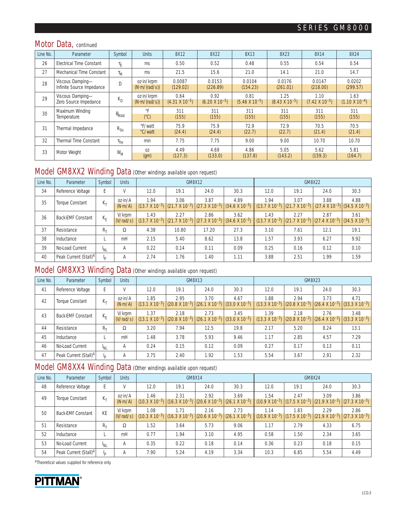#### Motor Data, continued

|          |                                                                   |                   |                             |                                 |                                 |                                 |                                 |                                 | SERIES GM8000                   |
|----------|-------------------------------------------------------------------|-------------------|-----------------------------|---------------------------------|---------------------------------|---------------------------------|---------------------------------|---------------------------------|---------------------------------|
|          | Motor Data, continued                                             |                   |                             |                                 |                                 |                                 |                                 |                                 |                                 |
| Line No. | Parameter                                                         | Symbol            | <b>Units</b>                | 8X12                            | 8X22                            | 8X13                            | 8X23                            | 8X14                            | 8X24                            |
| 26       | <b>Electrical Time Constant</b>                                   | $\tau_{\text{F}}$ | ms                          | 0.50                            | 0.52                            | 0.48                            | 0.55                            | 0.54                            | 0.54                            |
| 27       | Mechanical Time Constant                                          | $\tau_{\rm M}$    | ms                          | 21.5                            | 15.6                            | 21.0                            | 14.1                            | 21.0                            | 14.7                            |
| 28       | Viscous Damping-<br>Infinite Source Impedance                     | D                 | oz·in/krpm<br>(N·m/(rad/s)) | 0.0087<br>(129.02)              | 0.0153<br>(226.89)              | 0.0104<br>(154.23)              | 0.0176<br>(261.01)              | 0.0147<br>(218.00)              | 0.0202<br>(299.57)              |
| 29       | Viscous Damping-<br>Zero Source Impedance                         | $K_D$             | oz·in/krpm<br>(N·m/(rad/s)) | 0.64<br>$(4.31 \times 10^{-5})$ | 0.92<br>$(6.20 \times 10^{-5})$ | 0.81<br>$(5.46 \times 10^{-5})$ | 1.25<br>$(8.43 \times 10^{-5})$ | 1.10<br>$(7.42 \times 10^{-5})$ | 1.63<br>$(1.10 \times 10^{-4})$ |
| 30       | Maximum Winding<br>Temperature                                    | $\theta_{MAX}$    | °F<br>$(^{\circ}C)$         | 311<br>(155)                    | 311<br>(155)                    | 311<br>(155)                    | 311<br>(155)                    | 311<br>(155)                    | 311<br>(155)                    |
| 31       | Thermal Impedance                                                 | $R_{TH}$          | °F/watt<br>°C/watt          | 75.9<br>(24.4)                  | 75.9<br>(24.4)                  | 72.9<br>(22.7)                  | 72.9<br>(22.7)                  | 70.5<br>(21.4)                  | 70.5<br>(21.4)                  |
| 32       | <b>Thermal Time Constant</b>                                      | $\tau_{TH}$       | min                         | 7.75                            | 7.75                            | 9.00                            | 9.00                            | 10.70                           | 10.70                           |
| 33       | Motor Weight                                                      | $W_M$             | OZ<br>(g <sub>m</sub> )     | 4.49<br>(127.3)                 | 4.69<br>(133.0)                 | 4.86<br>(137.8)                 | 5.05<br>(143.2)                 | 5.62<br>(159.3)                 | 5.81<br>(164.7)                 |
|          | Model GM8XX2 Winding Data (Other windings available upon request) |                   |                             |                                 |                                 |                                 |                                 |                                 |                                 |

| Line No. | Parameter                         | Symbol          | <b>Units</b>         |                                                                                                                                                                                                                            | <b>GM8X12</b> |       |                                 |                                                                                                         | <b>GM8X22</b> |                                                         |      |
|----------|-----------------------------------|-----------------|----------------------|----------------------------------------------------------------------------------------------------------------------------------------------------------------------------------------------------------------------------|---------------|-------|---------------------------------|---------------------------------------------------------------------------------------------------------|---------------|---------------------------------------------------------|------|
| 34       | Reference Voltage                 | E               |                      | 12.0                                                                                                                                                                                                                       | 19.1          | 24.0  | 30.3                            | 12.0                                                                                                    | 19.1          | 24.0                                                    | 30.3 |
| 35       | Torque Constant                   | $K_{\tau}$      | $oz-in/A$<br>(N·m/A) | 1.94<br>$(13.7 \times 10^{-3})$ $(21.7 \times 10^{-3})$ $(27.3 \times 10^{-3})$                                                                                                                                            | 3.06          | 3.87  | 4.89<br>$(34.6 \times 10^{-3})$ | 1.94<br>$(13.7 \times 10^{-3})$ $(21.7 \times 10^{-3})$                                                 | 3.07          | 3.88<br>$(27.4 \times 10^{-3})$ $(34.5 \times 10^{-3})$ | 4.88 |
| 36       | <b>Back-EMF Constant</b>          | $K_F$           | V/krpm               | 1.43<br>$\left[\frac{V}{rad/s}\right]$ $\left[\frac{13.7 \times 10^{-3}}{2}\right]$ $\left[\frac{21.7 \times 10^{-3}}{2}\right]$ $\left[\frac{27.3 \times 10^{-3}}{2}\right]$ $\left[\frac{34.6 \times 10^{-3}}{2}\right]$ | 2.27          | 2.86  | 3.62                            | 1.43<br>$(13.7 \times 10^{-3})$ $(21.7 \times 10^{-3})$ $(27.4 \times 10^{-3})$ $(34.5 \times 10^{-3})$ | 2.27          | 2.87                                                    | 3.61 |
| 37       | Resistance                        | $R_{\tau}$      | Ω                    | 4.38                                                                                                                                                                                                                       | 10.80         | 17.20 | 27.3                            | 3.10                                                                                                    | 7.61          | 12.1                                                    | 19.1 |
| 38       | Inductance                        |                 | mH                   | 2.15                                                                                                                                                                                                                       | 5.40          | 8.62  | 13.8                            | 1.57                                                                                                    | 3.93          | 6.27                                                    | 9.92 |
| 39       | No-Load Current                   | <sup>I</sup> NI | A                    | 0.22                                                                                                                                                                                                                       | 0.14          | 0.11  | 0.09                            | 0.25                                                                                                    | 0.16          | 0.12                                                    | 0.10 |
| 40       | Peak Current (Stall) <sup>4</sup> | ln.             | A                    | 2.74                                                                                                                                                                                                                       | 1.76          | 1.40  | 1.11                            | 3.88                                                                                                    | 2.51          | 1.99                                                    | 1.59 |

#### Model GM8XX3 Winding Data (Other windings available upon request)

| Line No. | Parameter                         | Symbol          | <b>Units</b>         |                                                                                                         | <b>GM8X13</b> |      |                                                                                                         |                                                                                                         | <b>GM8X23</b> |      |      |
|----------|-----------------------------------|-----------------|----------------------|---------------------------------------------------------------------------------------------------------|---------------|------|---------------------------------------------------------------------------------------------------------|---------------------------------------------------------------------------------------------------------|---------------|------|------|
| 41       | Reference Voltage                 |                 | V                    | 12.0                                                                                                    | 19.1          | 24.0 | 30.3                                                                                                    | 12.0                                                                                                    | 19.1          | 24.0 | 30.3 |
| 42       | Torque Constant                   | $K_{\tau}$      | $oz-in/A$<br>(N·m/A) | 1.85                                                                                                    | 2.95          | 3.70 | 4.67<br>$(13.1 \times 10^{-3})$ $(20.8 \times 10^{-3})$ $(26.1 \times 10^{-3})$ $(33.0 \times 10^{-3})$ | 1.88<br>$(13.3 \times 10^{-3})$ $(20.8 \times 10^{-3})$ $(26.4 \times 10^{-3})$ $(33.3 \times 10^{-3})$ | 2.94          | 3.73 | 4.71 |
| 43       | Back-EMF Constant                 | $K_F$           | V/krpm<br>(V/rad/s)  | 1.37<br>$(13.1 \times 10^{-3})$ $(20.8 \times 10^{-3})$ $(26.1 \times 10^{-3})$ $(33.0 \times 10^{-3})$ | 2.18          | 2.73 | 3.45                                                                                                    | 1.39<br>$(13.3 \times 10^{-3})$ $(20.8 \times 10^{-3})$ $(26.4 \times 10^{-3})$ $(33.3 \times 10^{-3})$ | 2.18          | 2.76 | 3.48 |
| 44       | Resistance                        | $R_{\tau}$      | Ω                    | 3.20                                                                                                    | 7.94          | 12.5 | 19.8                                                                                                    | 2.17                                                                                                    | 5.20          | 8.24 | 13.1 |
| 45       | Inductance                        |                 | mH                   | 1.48                                                                                                    | 3.78          | 5.93 | 9.46                                                                                                    | 1.17                                                                                                    | 2.85          | 4.57 | 7.29 |
| 46       | No-Load Current                   | <sup>I</sup> NL | Α                    | 0.24                                                                                                    | 0.15          | 0.12 | 0.09                                                                                                    | 0.27                                                                                                    | 0.17          | 0.13 | 0.11 |
| 47       | Peak Current (Stall) <sup>4</sup> | Iр              | А                    | 3.75                                                                                                    | 2.40          | 1.92 | 1.53                                                                                                    | 5.54                                                                                                    | 3.67          | 2.91 | 2.32 |

## Model GM8XX4 Winding Data (Other windings available upon request)

| Line No. | Parameter                         | Symbol          | <b>Units</b>        |      |      | <b>GM8X14</b>                                                                                           |      |                                 | <b>GM8X24</b> |      |                                                                                 |
|----------|-----------------------------------|-----------------|---------------------|------|------|---------------------------------------------------------------------------------------------------------|------|---------------------------------|---------------|------|---------------------------------------------------------------------------------|
| 48       | Reference Voltage                 |                 |                     | 12.0 | 19.1 | 24.0                                                                                                    | 30.3 | 12.0                            | 19.1          | 24.0 | 30.3                                                                            |
| 49       | Torque Constant                   | $K_{\tau}$      | oz·in/A<br>(N·m/A)  | 1.46 | 2.31 | 2.92<br>$(10.3 \times 10^{-3})$ $(16.3 \times 10^{-3})$ $(20.6 \times 10^{-3})$ $(26.1 \times 10^{-3})$ | 3.69 | 1.54<br>$(10.9 \times 10^{-3})$ | 2.47          | 3.09 | 3.86<br>$(17.5 \times 10^{-3})$ $(21.9 \times 10^{-3})$ $(27.3 \times 10^{-3})$ |
| 50       | <b>Back-EMF Constant</b>          | KE              | V/krpm<br>(V/rad/s) | 1.08 | .71  | 2.16<br>$(10.3 \times 10^{-3})$ $(16.3 \times 10^{-3})$ $(20.6 \times 10^{-3})$ $(26.1 \times 10^{-3})$ | 2.73 | 1.14<br>$(10.9 \times 10^{-3})$ | 1.83          | 2.29 | 2.86<br>$(17.5 \times 10^{-3})$ $(21.9 \times 10^{-3})$ $(27.3 \times 10^{-3})$ |
| 51       | Resistance                        | $R_{\tau}$      | Ω                   | 1.52 | 3.64 | 5.73                                                                                                    | 9.06 | 1.17                            | 2.79          | 4.33 | 6.75                                                                            |
| 52       | Inductance                        |                 | mH                  | 0.77 | 1.94 | 3.10                                                                                                    | 4.95 | 0.58                            | 1.50          | 2.34 | 3.65                                                                            |
| 53       | No-Load Current                   | <sup>I</sup> NI | Α                   | 0.35 | 0.22 | 0.18                                                                                                    | 0.14 | 0.36                            | 0.23          | 0.18 | 0.15                                                                            |
| 54       | Peak Current (Stall) <sup>4</sup> | I <sub>D</sub>  | А                   | 7.90 | 5.24 | 4.19                                                                                                    | 3.34 | 10.3                            | 6.85          | 5.54 | 4.49                                                                            |

4Theoretical values supplied for reference only.

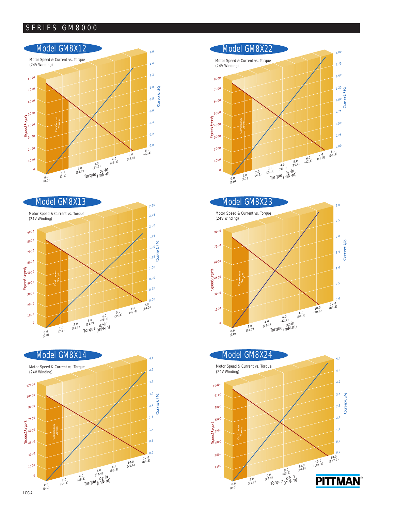









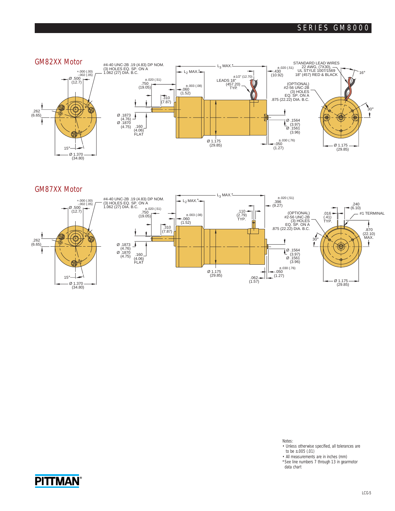

GM87XX Motor



Notes:

• Unless otherwise specified, all tolerances are to be ±.005 (.01)

• All measurements are in inches (mm) \*See line numbers 7 through 13 in gearmotor data chart

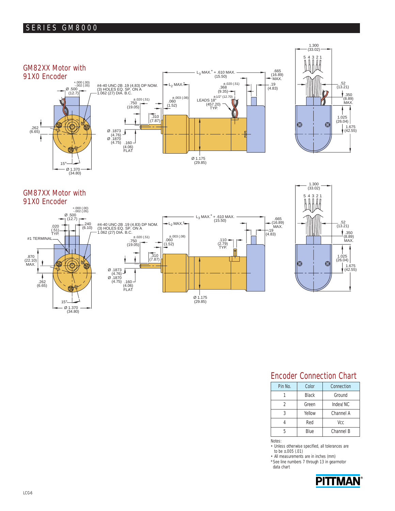



#### GM87XX Motor with 91X0 Encoder+.000 (.00) -.002 (.05) Ø .500 (12.7)  $L_3$  MAX. $\stackrel{*}{\sim}$  + .610 MAX.<br>(15.50) .665 .240  $\pm L_2$  MAX. $\stackrel{\star}{\rightarrow}$ (16.89) MAX. #4-40 UNC-2B .19 (4.83) DP NOM. (3) HOLES EQ. SP. ON A 1.062 (27) DIA. B.C.  $(6.10)$  .020  $\uparrow$  .021 .00 .19 (.51) TYP. — 19<br>(4.83) ± .020 (.51) ± .003 (.08) .060 (1.52) #1 TERMINAL .750 .110 (2.79) TYP.  $(19.05)$  $\overline{\mathsf{f}}$ .310 (7.87) .870 (22.10) MAX.  $\frac{1}{2}$ <u>1</u> Ø .1873 (4.76) Ø .1870  $\frac{1}{262}$  $(4.75)$  .160 -(6.65) (4.06) FLAT Ø 1.175 (29.85) 15° Ø 1.370 (34.80)



#### Encoder Connection Chart

| Pin No.        | Color       | Connection |
|----------------|-------------|------------|
|                | Black       | Ground     |
| $\mathfrak{D}$ | Green       | Index/NC   |
| 3              | Yellow      | Channel A  |
|                | Red         | Vcc.       |
| 5              | <b>Blue</b> | Channel B  |

Notes:

• Unless otherwise specified, all tolerances are to be ±.005 (.01)

• All measurements are in inches (mm)

\*See line numbers 7 through 13 in gearmotor data chart

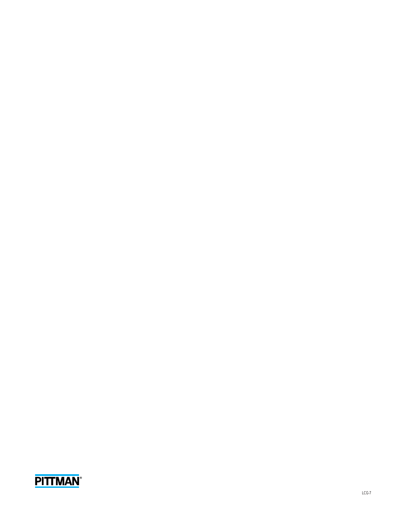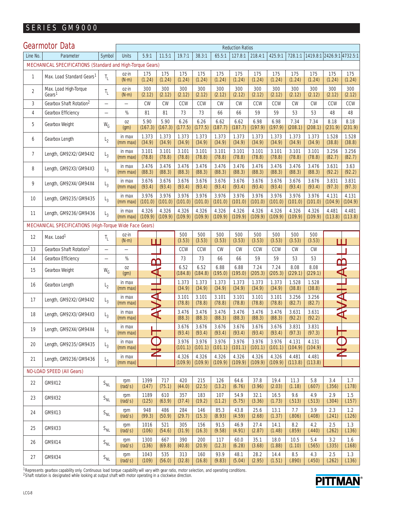|                | <b>Gearmotor Data</b>                                                                                                                                                                                                                                                              |                            |                                |                   |                  |                  |                  |                  | <b>Reduction Ratios</b> |                  |                  |                  |                  |                            |                  |
|----------------|------------------------------------------------------------------------------------------------------------------------------------------------------------------------------------------------------------------------------------------------------------------------------------|----------------------------|--------------------------------|-------------------|------------------|------------------|------------------|------------------|-------------------------|------------------|------------------|------------------|------------------|----------------------------|------------------|
| Line No.       | Parameter                                                                                                                                                                                                                                                                          | Symbol                     | <b>Units</b>                   | 5.9:1             | 11.5:1           | 19.7:1           | 38.3:1           | 65.5:1           | 127.8:1                 | 218.4:1          | 425.9:1          | 728.1:1          |                  | 1419.8:1 2426.9:1 4732.5:1 |                  |
|                | MECHANICAL SPECIFICATIONS (Standard and High-Torque Gears)                                                                                                                                                                                                                         |                            |                                |                   |                  |                  |                  |                  |                         |                  |                  |                  |                  |                            |                  |
| 1              | Max. Load Standard Gears <sup>1</sup>                                                                                                                                                                                                                                              | $T_{L}$                    | $OZ \cdot$ in<br>$(N \cdot m)$ | 175<br>(1.24)     | 175<br>(1.24)    | 175<br>(1.24)    | 175<br>(1.24)    | 175<br>(1.24)    | 175<br>(1.24)           | 175<br>(1.24)    | 175<br>(1.24)    | 175<br>(1.24)    | 175<br>(1.24)    | 175<br>(1.24)              | 175<br>(1.24)    |
| $\overline{2}$ | Max. Load High-Torque<br>Gears <sup>1</sup>                                                                                                                                                                                                                                        | $T_{L}$                    | oz·in<br>$(N \cdot m)$         | 300<br>(2.12)     | 300<br>(2.12)    | 300<br>(2.12)    | 300<br>(2.12)    | 300<br>(2.12)    | 300<br>(2.12)           | 300<br>(2.12)    | 300<br>(2.12)    | 300<br>(2.12)    | 300<br>(2.12)    | 300<br>(2.12)              | 300<br>(2.12)    |
| 3              | Gearbox Shaft Rotation <sup>2</sup>                                                                                                                                                                                                                                                |                            |                                | <b>CW</b>         | <b>CW</b>        | CCW              | CCW              | <b>CW</b>        | <b>CW</b>               | CCW              | CCW              | <b>CW</b>        | <b>CW</b>        | CCW                        | CCW              |
| $\overline{4}$ | Gearbox Efficiency                                                                                                                                                                                                                                                                 |                            | %                              | 81                | 81               | 73               | 73               | 66               | 66                      | 59               | 59               | 53               | 53               | 48                         | 48               |
| 5              | Gearbox Weight                                                                                                                                                                                                                                                                     | $W_G$                      | OZ<br>(gm)                     | 5.90<br>(167.3)   | 5.90<br>(167.3)  | 6.26<br>(177.5)  | 6.26<br>(177.5)  | 6.62<br>(187.7)  | 6.62<br>(187.7)         | 6.98<br>(197.9)  | 6.98<br>(197.9)  | 7.34<br>(208.1)  | 7.34<br>(208.1)  | 8.18<br>(231.9)            | 8.18<br>(231.9)  |
| 6              | Gearbox Length                                                                                                                                                                                                                                                                     | L <sub>2</sub>             | in max<br>(mm max)             | 1.373<br>(34.9)   | 1.373<br>(34.9)  | 1.373<br>(34.9)  | 1.373<br>(34.9)  | 1.373<br>(34.9)  | 1.373<br>(34.9)         | 1.373<br>(34.9)  | 1.373<br>(34.9)  | 1.373<br>(34.9)  | 1.373<br>(34.9)  | 1.528<br>(38.8)            | 1.528<br>(38.8)  |
| $\overline{7}$ | Length, GM92X2/GM94X2                                                                                                                                                                                                                                                              | $L_3$                      | in max<br>(mm max)             | 3.101<br>(78.8)   | 3.101<br>(78.8)  | 3.101<br>(78.8)  | 3.101<br>(78.8)  | 3.101<br>(78.8)  | 3.101<br>(78.8)         | 3.101<br>(78.8)  | 3.101<br>(78.8)  | 3.101<br>(78.8)  | 3.101<br>(78.8)  | 3.256<br>(82.7)            | 3.256<br>(82.7)  |
| 8              | Length, GM92X3/GM94X3                                                                                                                                                                                                                                                              | $L_3$                      | in max<br>(mm max)             | 3.476<br>(88.3)   | 3.476<br>(88.3)  | 3.476<br>(88.3)  | 3.476<br>(88.3)  | 3.476<br>(88.3)  | 3.476<br>(88.3)         | 3.476<br>(88.3)  | 3.476<br>(88.3)  | 3.476<br>(88.3)  | 3.476<br>(88.3)  | 3.631<br>(92.2)            | 3.63<br>(92.2)   |
| 9              | Length, GM92X4/GM94X4                                                                                                                                                                                                                                                              | $L_3$                      | in max<br>(mm max)             | 3.676<br>(93.4)   | 3.676<br>(93.4)  | 3.676<br>(93.4)  | 3.676<br>(93.4)  | 3.676<br>(93.4)  | 3.676<br>(93.4)         | 3.676<br>(93.4)  | 3.676<br>(93.4)  | 3.676<br>(93.4)  | 3.676<br>(93.4)  | 3.831<br>(97.3)            | 3.831<br>(97.3)  |
| 10             | Length, GM9235/GM9435                                                                                                                                                                                                                                                              | $L_3$                      | in max<br>(mm max)             | 3.976<br>(101.0)  | 3.976<br>(101.0) | 3.976<br>(101.0) | 3.976<br>(101.0) | 3.976<br>(101.0) | 3.976<br>(101.0)        | 3.976<br>(101.0) | 3.976<br>(101.0) | 3.976<br>(101.0) | 3.976<br>(101.0) | 4.131<br>(104.9)           | 4.131<br>(104.9) |
| 11             | Length, GM9236/GM9436                                                                                                                                                                                                                                                              | $L_3$                      | in max<br>(mm max)             | 4.326<br>(109.9)  | 4.326<br>(109.9) | 4.326<br>(109.9) | 4.326<br>(109.9) | 4.326<br>(109.9) | 4.326<br>(109.9)        | 4.326<br>(109.9) | 4.326<br>(109.9) | 4.326<br>(109.9) | 4.326<br>(109.9) | 4.481<br>(113.8)           | 4.481<br>(113.8) |
|                | MECHANICAL SPECIFICATIONS (High-Torque Wide Face Gears)                                                                                                                                                                                                                            |                            |                                |                   |                  |                  |                  |                  |                         |                  |                  |                  |                  |                            |                  |
| 12             | Max. Load <sup>1</sup>                                                                                                                                                                                                                                                             | $T_{L}$                    | $OZ \cdot in$<br>$(N \cdot m)$ |                   |                  | 500<br>(3.53)    | 500<br>(3.53)    | 500<br>(3.53)    | 500<br>(3.53)           | 500<br>(3.53)    | 500<br>(3.53)    | 500<br>(3.53)    | 500<br>(3.53)    |                            |                  |
| 13             | Gearbox Shaft Rotation <sup>2</sup>                                                                                                                                                                                                                                                |                            |                                |                   |                  | CCW              | CCW              | <b>CW</b>        | <b>CW</b>               | CCW              | CCW              | <b>CW</b>        | CW               |                            |                  |
| 14             | Gearbox Efficiency                                                                                                                                                                                                                                                                 |                            | $\%$                           | $\mathbf{\Omega}$ |                  | 73               | 73               | 66               | 66                      | 59               | 59               | 53               | 53               | ല                          |                  |
| 15             | Gearbox Weight                                                                                                                                                                                                                                                                     | $W_G$                      | 0Z<br>(gm)                     | ◁                 |                  | 6.52<br>(184.8)  | 6.52<br>(184.8)  | 6.88<br>(195.0)  | 6.88<br>(195.0)         | 7.24<br>(205.3)  | 7.24<br>(205.3)  | 8.08<br>(229.1)  | 8.08<br>(229.1)  | ◀                          |                  |
| 16             | Gearbox Length                                                                                                                                                                                                                                                                     | L <sub>2</sub>             | in max<br>(mm max)             |                   |                  | 1.373<br>(34.9)  | 1.373<br>(34.9)  | 1.373<br>(34.9)  | 1.373<br>(34.9)         | 1.373<br>(34.9)  | 1.373<br>(34.9)  | 1.528<br>(38.8)  | 1.528<br>(38.8)  |                            |                  |
| 17             | Length, GM92X2/GM94X2                                                                                                                                                                                                                                                              | $L_3$                      | in max<br>(mm max)             | ◁                 |                  | 3.101<br>(78.8)  | 3.101<br>(78.8)  | 3.101<br>(78.8)  | 3.101<br>(78.8)         | 3.101<br>(78.8)  | 3.101<br>(78.8)  | 3.256<br>(82.7)  | 3.256<br>(82.7)  | ◀                          |                  |
| 18             | Length, GM92X3/GM94X3                                                                                                                                                                                                                                                              | $L_3$                      | in max<br>(mm max)             | ◁                 |                  | 3.476<br>(88.3)  | 3.476<br>(88.3)  | 3.476<br>(88.3)  | 3.476<br>(88.3)         | 3.476<br>(88.3)  | 3.476<br>(88.3)  | 3.631<br>(92.2)  | 3.631<br>(92.2)  | $\blacktriangleleft$       |                  |
| 19             | Length, GM92X4/GM94X4                                                                                                                                                                                                                                                              |                            | in max<br>(mm max)             | г                 |                  | 3.676<br>(93.4)  | 3.676<br>(93.4)  | 3.676<br>(93.4)  | 3.676<br>(93.4)         | 3.676<br>(93.4)  | 3.676<br>(93.4)  | 3.831<br>(97.3)  | 3.831<br>(97.3)  |                            |                  |
| 20             | Length, GM9235/GM9435                                                                                                                                                                                                                                                              | $L_3$                      | in max<br>(mm max)             |                   |                  | 3.976<br>(101.1) | 3.976<br>(101.1) | 3.976<br>(101.1) | 3.976<br>(101.1)        | 3.976<br>(101.1) | 3.976<br>(101.1) | 4.131<br>(104.9) | 4.131<br>(104.9) |                            |                  |
| 21             | Length, GM9236/GM9436                                                                                                                                                                                                                                                              | $L_3$                      | in max<br>(mm max)             |                   |                  | 4.326<br>(109.9) | 4.326<br>(109.9) | 4.326<br>(109.9) | 4.326<br>(109.9)        | 4.326<br>(109.9) | 4.326<br>(109.9) | 4.481<br>(113.8) | 4.481<br>(113.8) |                            |                  |
|                | <b>NO-LOAD SPEED (All Gears)</b>                                                                                                                                                                                                                                                   |                            |                                |                   |                  |                  |                  |                  |                         |                  |                  |                  |                  |                            |                  |
| 22             | GM9X12                                                                                                                                                                                                                                                                             | $\mathsf{S}_{\mathsf{NL}}$ | rpm<br>(rad/s)                 | 1399<br>(147)     | 717<br>(75.1)    | 420<br>(44.0)    | 215<br>(22.5)    | 126<br>(13.2)    | 64.6<br>(6.76)          | 37.8<br>(3.96)   | 19.4<br>(2.03)   | 11.3<br>(1.18)   | 5.8<br>(.607)    | 3.4<br>(.356)              | 1.7<br>(.178)    |
| 23             | GM9X32                                                                                                                                                                                                                                                                             | $\mathsf{S}_{\mathsf{NL}}$ | rpm<br>(rad/s)                 | 1189<br>(125)     | 610<br>(63.9)    | 357<br>(37.4)    | 183<br>(19.2)    | 107<br>(11.2)    | 54.9<br>(5.75)          | 32.1<br>(3.36)   | 16.5<br>(1.73)   | 9.6<br>(.513)    | 4.9<br>(.513)    | 2.9<br>(.304)              | 1.5<br>(.157)    |
| 24             | GM9X13                                                                                                                                                                                                                                                                             | $\mathsf{S}_{\mathsf{NL}}$ | rpm<br>(rad/s)                 | 948<br>(99.3)     | 486<br>(50.9)    | 284<br>(29.7)    | 146<br>(15.3)    | 85.3<br>(8.93)   | 43.8<br>(4.59)          | 25.6<br>(2.68)   | 13.1<br>(1.37)   | 7.7<br>(.806)    | 3.9<br>(.408)    | 2.3<br>(.241)              | 1.2<br>(.126)    |
| 25             | GM9X33                                                                                                                                                                                                                                                                             | $\mathsf{S}_{\mathsf{NL}}$ | rpm<br>(rad/s)                 | 1016<br>(106)     | 521<br>(54.6)    | 305<br>(31.9)    | 156<br>(16.3)    | 91.5<br>(9.58)   | 46.9<br>(4.91)          | 27.4<br>(2.87)   | 14.1<br>(1.48)   | 8.2<br>(.859)    | 4.2<br>(.440)    | 2.5<br>(.262)              | 1.3<br>(.136)    |
| 26             | GM9X14                                                                                                                                                                                                                                                                             | $\mathsf{S}_{\mathsf{NL}}$ | rpm<br>(rad/s)                 | 1300<br>(136)     | 667<br>(69.8)    | 390<br>(40.8)    | 200<br>(20.9)    | 117<br>(12.3)    | 60.0<br>(6.28)          | 35.1<br>(3.68)   | 18.0<br>(1.88)   | 10.5<br>(1.10)   | 5.4<br>(.565)    | 3.2<br>(.335)              | 1.6<br>(.168)    |
| 27             | GM9X34                                                                                                                                                                                                                                                                             | $\mathsf{S}_{\mathsf{NL}}$ | rpm<br>(rad/s)                 | 1043<br>(109)     | 535<br>(56.0)    | 313<br>(32.8)    | 160<br>(16.8)    | 93.9<br>(9.83)   | 48.1<br>(5.04)          | 28.2<br>(2.95)   | 14.4<br>(1.51)   | 8.5<br>(.890)    | 4.3<br>(.450)    | 2.5<br>(.262)              | 1.3<br>(.136)    |
|                | <sup>1</sup> Represents gearbox capability only. Continuous load torque capability will vary with gear ratio, motor selection, and operating conditions.<br><sup>2</sup> Shaft rotation is designated while looking at output shaft with motor operating in a clockwise direction. |                            |                                |                   |                  |                  |                  |                  |                         |                  |                  |                  |                  |                            |                  |

<sup>1</sup>Represents gearbox capability only. Continuous load torque capability will vary with gear ratio, motor selection, and operating conditions.<br><sup>2</sup>Shaft rotation is designated while looking at output shaft with motor operat

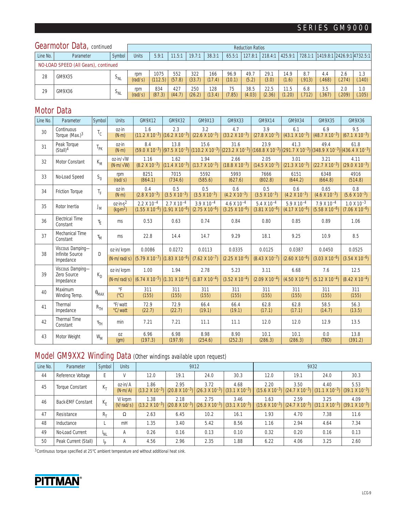| <b>Gearmotor Data, continued</b> |  |
|----------------------------------|--|
|                                  |  |

|          | <b>Gearmotor Data, continued</b>     |                             |                |                 |               |               |               |                | <b>Reduction Ratios</b> |                |                |               |              |                            |            |
|----------|--------------------------------------|-----------------------------|----------------|-----------------|---------------|---------------|---------------|----------------|-------------------------|----------------|----------------|---------------|--------------|----------------------------|------------|
| Line No. | Parameter                            | Symbol                      | <b>Units</b>   | 5.9:1           | 11.5:1        | 19.7:1        | 38.3:1        | 65.5:1         | 127.8:1                 | 218.4:1        | 425.9:1        | 728.1:1       |              | 1419.8:1 2426.9:1 4732.5:1 |            |
|          | NO-LOAD SPEED (All Gears), continued |                             |                |                 |               |               |               |                |                         |                |                |               |              |                            |            |
| 28       | GM9X35                               | $\mathcal{P}_{\mathsf{NL}}$ | rpm<br>(rad/s) | 1075<br>(112.5) | 552<br>(57.8) | 322<br>(33.7) | 166<br>(17.4) | 96.9<br>(10.1) | 49.7<br>(5.2)           | 29.1<br>(3.0)  | 14.9<br>(1.6)  | 8.7<br>(.913) | 4.4<br>.468) | 2.6<br>.274)               | .140)      |
| 29       | GM9X36                               | $>_{\mathsf{NL}}$           | rpm<br>(rad/s) | 834<br>(87.3)   | 427<br>(44.7) | 250<br>(26.2) | 128<br>(13.4) | 75<br>(7.85)   | 38.5<br>(4.03)          | 22.5<br>(2.36) | 11.5<br>(1.20) | 6.8<br>(.712) | 3.5<br>.367  | 2.0<br>.209)               | 0.1<br>105 |

#### Motor Data

| Line No. | Parameter                           | Symbol                    | <b>Units</b>                                 | <b>GM9X12</b>                                             | <b>GM9X32</b>                              | <b>GM9X13</b>                                                                          | <b>GM9X33</b>                                            | <b>GM9X14</b>                              | <b>GM9X34</b>                              | <b>GM9X35</b>                                                                                               | <b>GM9X36</b>                              |
|----------|-------------------------------------|---------------------------|----------------------------------------------|-----------------------------------------------------------|--------------------------------------------|----------------------------------------------------------------------------------------|----------------------------------------------------------|--------------------------------------------|--------------------------------------------|-------------------------------------------------------------------------------------------------------------|--------------------------------------------|
| 30       | Continuous<br>Torque $(Max.)3$      | $T_{\rm C}$               | $OZ \cdot$ in<br>$(N \cdot m)$               | 1.6<br>$(11.2 \times 10^{-3})$ (16.2 X 10 <sup>-3</sup> ) | 2.3                                        | 3.2<br>$(22.6 \times 10^{-3})$                                                         | 4.7<br>$(33.2 \times 10^{-3})$                           | 3.9<br>$(27.8 \times 10^{-3})$             | 6.1<br>$(43.1 \times 10^{-3})$             | 6.9<br>$(48.7 \times 10^{-3})$                                                                              | 9.5<br>$(67.1 \times 10^{-3})$             |
| 31       | Peak Torque<br>(Stall) <sup>4</sup> | $T_{PK}$                  | $OZ \cdot in$<br>$(N \cdot m)$               | 8.4                                                       | 13.8                                       | 15.6<br>$(59.0 \times 10^{-3})$ (97.5 X 10 <sup>-3</sup> ) (110.2 X 10 <sup>-3</sup> ) | 31.6<br>$(223.2 \times 10^{-3})$                         | 23.9                                       | 41.3                                       | 49.4<br>$(168.8 \times 10^{-3})$ $(291.7 \times 10^{-3})$ $(348.9 \times 10^{-3})$ $(436.4 \times 10^{-3})$ | 61.8                                       |
| 32       | Motor Constant                      | $K_{\rm M}$               | $oz-in/\sqrt{W}$<br>$(N \cdot m / \sqrt{W})$ | 1.16<br>$(8.2 \times 10^{-3})$                            | 1.62<br>$(11.4 \times 10^{-3})$            | 1.94<br>$(13.7 \times 10^{-3})$                                                        | 2.66<br>$(18.8 \times 10^{-3})$                          | 2.05<br>$(14.5 \times 10^{-3})$            | 3.01<br>$(21.3 \times 10^{-3})$            | 3.21<br>$(22.7 \times 10^{-3})$                                                                             | 4.11<br>$(29.0 \times 10^{-3})$            |
| 33       | No-Load Speed                       | $S_0$                     | rpm<br>(rad/s)                               | 8251<br>(864.1)                                           | 7015<br>(734.6)                            | 5592<br>(585.6)                                                                        | 5993<br>(627.6)                                          | 7666<br>(802.8)                            | 6151<br>(644.2)                            | 6348<br>(664.8)                                                                                             | 4916<br>(514.8)                            |
| 34       | Friction Torque                     | $T_F$                     | $oz \cdot in$<br>$(N \cdot m)$               | 0.4<br>$(2.8 \times 10^{-3})$                             | 0.5<br>$(3.5 \times 10^{-3})$              | 0.5<br>$(3.5 \times 10^{-3})$                                                          | 0.6<br>$(4.2 \times 10^{-3})$                            | 0.5<br>$(3.5 \times 10^{-3})$              | 0.6<br>$(4.2 \times 10^{-3})$              | 0.65<br>$(4.6 \times 10^{-3})$                                                                              | 0.8<br>$(5.6 \times 10^{-3})$              |
| 35       | Rotor Inertia                       | $\mathsf{J}_{\mathsf{M}}$ | $oz-in-s2$<br>$(kg-m2)$                      | $2.2 X 10^{-4}$<br>$(1.55 \times 10^{-6})$                | $2.7 X 10^{-4}$<br>$(1.91 \times 10^{-6})$ | $3.9 X 10^{-4}$<br>$(2.75 \times 10^{-6})$                                             | 4.6 $\times$ 10 <sup>-4</sup><br>$(3.25 \times 10^{-6})$ | $5.4 X 10^{-4}$<br>$(3.81 \times 10^{-6})$ | $5.9 X 10^{-4}$<br>$(4.17 \times 10^{-6})$ | $7.9 X 10^{-4}$<br>$(5.58 \times 10^{-6})$                                                                  | $1.0 X 10^{-3}$<br>$(7.06 \times 10^{-6})$ |
| 36       | <b>Electrical Time</b><br>Constant  | $\tau_{\text{F}}$         | ms                                           | 0.53                                                      | 0.63                                       | 0.74                                                                                   | 0.84                                                     | 0.80                                       | 0.85                                       | 0.89                                                                                                        | 1.06                                       |
| 37       | Mechanical Time<br>Constant         | $\tau_{\rm M}$            | ms                                           | 22.8                                                      | 14.4                                       | 14.7                                                                                   | 9.29                                                     | 18.1                                       | 9.25                                       | 10.9                                                                                                        | 8.5                                        |
|          | Viscous Damping-                    |                           | oz·in/krpm                                   | 0.0086                                                    | 0.0272                                     | 0.0113                                                                                 | 0.0335                                                   | 0.0125                                     | 0.0387                                     | 0.0450                                                                                                      | 0.0525                                     |
| 38       | Infinite Source<br>Impedance        | $\mathsf{D}$              | (N·m/rad/s)                                  | $(5.79 \times 10^{-7})$ (1.83 X 10 <sup>-6</sup> )        |                                            | $(7.62 \times 10^{-7})$                                                                | $(2.25 \times 10^{-6})$                                  | $(8.43 \times 10^{-7})$                    | $(2.60 \times 10^{-6})$                    | $(3.03 \times 10^{-6})$                                                                                     | $(3.54 \times 10^{-6})$                    |
| 39       | Viscous Damping-<br>Zero Source     |                           | oz·in/krpm                                   | 1.00                                                      | 1.94                                       | 2.78                                                                                   | 5.23                                                     | 3.11                                       | 6.68                                       | 7.6                                                                                                         | 12.5                                       |
|          | Impedance                           | $K_{\text{D}}$            | (N·m/rad/s)                                  | $(6.74 \times 10^{-5})$ $(1.31 \times 10^{-4})$           |                                            | $(1.87 \times 10^{-4})$                                                                | $(3.52 \times 10^{-4})$                                  | $(2.09 \times 10^{-4})$                    | $(4.50 \times 10^{-4})$                    | $(5.12 \times 10^{-4})$                                                                                     | $(8.42 \times 10^{-4})$                    |
| 40       | Maximum                             | $\theta_{MAX}$            | $\circ$ F<br>$(^{\circ}C)$                   | 311                                                       | 311                                        | 311                                                                                    | 311                                                      | 311                                        | 311                                        | 311                                                                                                         | 311                                        |
|          | Winding Temp.                       |                           |                                              | (155)                                                     | (155)                                      | (155)                                                                                  | (155)                                                    | (155)                                      | (155)                                      | (155)                                                                                                       | (155)                                      |
| 41       | Thermal<br>Impedance                | $R_{TH}$                  | °F/watt<br>°C/watt                           | 72.9<br>(22.7)                                            | 72.9<br>(22.7)                             | 66.4<br>(19.1)                                                                         | 66.4<br>(19.1)                                           | 62.8<br>(17.1)                             | 62.8<br>(17.1)                             | 58.5<br>(14.7)                                                                                              | 56.3<br>(13.5)                             |
| 42       | <b>Thermal Time</b><br>Constant     | $\tau$ <sub>TH</sub>      | min                                          | 7.21                                                      | 7.21                                       | 11.1                                                                                   | 11.1                                                     | 12.0                                       | 12.0                                       | 12.9                                                                                                        | 13.5                                       |
| 43       | Motor Weight                        | $W_M$                     | OZ<br>(gm)                                   | 6.96<br>(197.3)                                           | 6.98<br>(197.9)                            | 8.98<br>(254.6)                                                                        | 8.90<br>(252.3)                                          | 10.1<br>(286.3)                            | 10.1<br>(286.3)                            | 0.0<br>(TBD)                                                                                                | 13.8<br>(391.2)                            |

# Model GM9XX2 Winding Data (Other windings available upon request)

| Line No. | Parameter            | Symbol          | <b>Units</b>                       |      |      | 9X12 |      |                                                                                                                                                                                                         |      | 9X32 |      |
|----------|----------------------|-----------------|------------------------------------|------|------|------|------|---------------------------------------------------------------------------------------------------------------------------------------------------------------------------------------------------------|------|------|------|
| 44       | Reference Voltage    | E               |                                    | 12.0 | 19.1 | 24.0 | 30.3 | 12.0                                                                                                                                                                                                    | 19.1 | 24.0 | 30.3 |
| 45       | Torque Constant      | $K_{\tau}$      | $oz \cdot in/A$<br>$(N \cdot m/A)$ | 1.86 | 2.95 | 3.72 | 4.68 | 2.20<br>$(13.2 X 10^{-3})$ $(20.8 X 10^{-3})$ $(26.3 X 10^{-3})$ $(33.1 X 10^{-3})$ $(15.6 X 10^{-3})$ $(24.7 X 10^{-3})$ $(31.1 X 10^{-3})$ $(39.1 X 10^{-3})$                                         | 3.50 | 4.40 | 5.53 |
| 46       | Back-EMF Constant    | $K_E$           | V/krpm<br>$\sqrt{(V/rad/s)}$       | 1.38 | 2.18 | 2.75 | 3.46 | 1.63<br>$(13.2 \times 10^{-3})$ $(20.8 \times 10^{-3})$ $(26.3 \times 10^{-3})$ $(33.1 \times 10^{-3})$ $(15.6 \times 10^{-3})$ $(24.7 \times 10^{-3})$ $(31.1 \times 10^{-3})$ $(39.1 \times 10^{-3})$ | 2.59 | 3.25 | 4.09 |
| 47       | Resistance           | $R_{\tau}$      | Ω                                  | 2.63 | 6.45 | 10.2 | 16.1 | 1.93                                                                                                                                                                                                    | 4.70 | 7.38 | 11.6 |
| 48       | Inductance           |                 | mH                                 | 1.35 | 3.40 | 5.42 | 8.56 | 1.16                                                                                                                                                                                                    | 2.94 | 4.64 | 7.34 |
| 49       | No-Load Current      | <sup>I</sup> NI | Α                                  | 0.26 | 0.16 | 0.13 | 0.10 | 0.32                                                                                                                                                                                                    | 0.20 | 0.16 | 0.13 |
| 50       | Peak Current (Stall) | Iь              | A                                  | 4.56 | 2.96 | 2.35 | 1.88 | 6.22                                                                                                                                                                                                    | 4.06 | 3.25 | 2.60 |

3Continuous torque specified at 25°C ambient temperature and without additional heat sink.

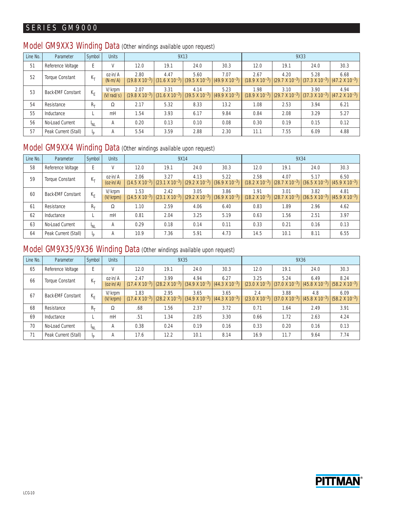#### Model GM9XX3 Winding Data (Other windings available upon request)

| Line No. | Parameter                | Symbol          | <b>Units</b>                       | 9X13 |      |      | 9X33                                                                                                    |                                                                                                                                                                                                         |      |      |      |
|----------|--------------------------|-----------------|------------------------------------|------|------|------|---------------------------------------------------------------------------------------------------------|---------------------------------------------------------------------------------------------------------------------------------------------------------------------------------------------------------|------|------|------|
| 51       | Reference Voltage        |                 |                                    | 12.0 | 19.1 | 24.0 | 30.3                                                                                                    | 12.0                                                                                                                                                                                                    | 19.1 | 24.0 | 30.3 |
| 52       | Torque Constant          | $K_{\tau}$      | $oz \cdot in/A$<br>$(N \cdot m/A)$ | 2.80 | 4.47 | 5.60 | 7.07<br>$(19.8 \times 10^{-3})$ $(31.6 \times 10^{-3})$ $(39.5 \times 10^{-3})$ $(49.9 \times 10^{-3})$ | 2.67<br>$(18.9 \times 10^{-3})$ $(29.7 \times 10^{-3})$ $(37.3 \times 10^{-3})$ $(47.2 \times 10^{-3})$                                                                                                 | 4.20 | 5.28 | 6.68 |
| 53       | <b>Back-EMF Constant</b> | $K_F$           | V/krpm<br>(V/rad/s)                | 2.07 | 3.31 | 4.14 | 5.23                                                                                                    | 1.98<br>$(19.8 \times 10^{-3})$ $(31.6 \times 10^{-3})$ $(39.5 \times 10^{-3})$ $(49.9 \times 10^{-3})$ $(18.9 \times 10^{-3})$ $(29.7 \times 10^{-3})$ $(37.3 \times 10^{-3})$ $(47.2 \times 10^{-3})$ | 3.10 | 3.90 | 4.94 |
| 54       | Resistance               | $R_{\tau}$      | Ω                                  | 2.17 | 5.32 | 8.33 | 13.2                                                                                                    | 1.08                                                                                                                                                                                                    | 2.53 | 3.94 | 6.21 |
| 55       | Inductance               |                 | mH                                 | 1.54 | 3.93 | 6.17 | 9.84                                                                                                    | 0.84                                                                                                                                                                                                    | 2.08 | 3.29 | 5.27 |
| 56       | No-Load Current          | <sup>I</sup> NI | А                                  | 0.20 | 0.13 | 0.10 | 0.08                                                                                                    | 0.30                                                                                                                                                                                                    | 0.19 | 0.15 | 0.12 |
| 57       | Peak Current (Stall)     | In              | A                                  | 5.54 | 3.59 | 2.88 | 2.30                                                                                                    | 11.1                                                                                                                                                                                                    | 7.55 | 6.09 | 4.88 |

## Model GM9XX4 Winding Data (Other windings available upon request)

| Line No. | Parameter            | Symbol          | <b>Units</b>                         | 9X14 |      |      |      | 9X34                                                                                                                                                                                                    |      |      |      |
|----------|----------------------|-----------------|--------------------------------------|------|------|------|------|---------------------------------------------------------------------------------------------------------------------------------------------------------------------------------------------------------|------|------|------|
| 58       | Reference Voltage    | E               |                                      | 12.0 | 19.1 | 24.0 | 30.3 | 12.0                                                                                                                                                                                                    | 19.1 | 24.0 | 30.3 |
| 59       | Torque Constant      | $K_{\tau}$      | $oz \cdot in/A$<br>$(oz \cdot in/A)$ | 2.06 | 3.27 | 4.13 | 5.22 | 2.58<br>$(14.5 X 10^{-3})$ $(23.1 X 10^{-3})$ $(29.2 X 10^{-3})$ $(36.9 X 10^{-3})$ $(18.2 X 10^{-3})$ $(28.7 X 10^{-3})$ $(36.5 X 10^{-3})$ $(45.9 X 10^{-3})$                                         | 4.07 | 5.17 | 6.50 |
| 60       | Back-EMF Constant    | $K_F$           | V/krpm<br>(V/krpm)                   | 1.53 | 2.42 | 3.05 | 3.86 | 1.91<br>$(14.5 \times 10^{-3})$ $(23.1 \times 10^{-3})$ $(29.2 \times 10^{-3})$ $(36.9 \times 10^{-3})$ $(18.2 \times 10^{-3})$ $(28.7 \times 10^{-3})$ $(36.5 \times 10^{-3})$ $(45.9 \times 10^{-3})$ | 3.01 | 3.82 | 4.81 |
| 61       | Resistance           | $R_{\tau}$      | Ω                                    | 1.10 | 2.59 | 4.06 | 6.40 | 0.83                                                                                                                                                                                                    | 1.89 | 2.96 | 4.62 |
| 62       | Inductance           |                 | mH                                   | 0.81 | 2.04 | 3.25 | 5.19 | 0.63                                                                                                                                                                                                    | 1.56 | 2.51 | 3.97 |
| 63       | No-Load Current      | <sup>I</sup> NI |                                      | 0.29 | 0.18 | 0.14 | 0.11 | 0.33                                                                                                                                                                                                    | 0.21 | 0.16 | 0.13 |
| 64       | Peak Current (Stall) | Iъ              |                                      | 10.9 | 7.36 | 5.91 | 4.73 | 14.5                                                                                                                                                                                                    | 10.1 | 8.11 | 6.55 |

## Model GM9X35/9X36 Winding Data (Other windings available upon request)

| Line No. | Parameter            | Symbol     | <b>Units</b>                   | 9X35 |                                                                                                         |      |                                                                                                         | 9X36 |      |      |                                                                                                         |
|----------|----------------------|------------|--------------------------------|------|---------------------------------------------------------------------------------------------------------|------|---------------------------------------------------------------------------------------------------------|------|------|------|---------------------------------------------------------------------------------------------------------|
| 65       | Reference Voltage    |            |                                | 12.0 | 19.1                                                                                                    | 24.0 | 30.3                                                                                                    | 12.0 | 19.1 | 24.0 | 30.3                                                                                                    |
| 66       | Torque Constant      | $K_{\tau}$ | $oz \cdot in/A$<br>$(oz-in/A)$ | 2.47 | 3.99                                                                                                    | 4.94 | 6.27<br>$(17.4 \times 10^{-3})$ $(28.2 \times 10^{-3})$ $(34.9 \times 10^{-3})$ $(44.3 \times 10^{-3})$ | 3.25 | 5.24 | 6.49 | 8.24<br>$(23.0 \times 10^{-3})$ $(37.0 \times 10^{-3})$ $(45.8 \times 10^{-3})$ $(58.2 \times 10^{-3})$ |
| 67       | Back-EMF Constant    | $K_F$      | V/krpm<br>(V/krpm)             | 1.83 | 2.95<br>$(17.4 \times 10^{-3})$ $(28.2 \times 10^{-3})$ $(34.9 \times 10^{-3})$ $(44.3 \times 10^{-3})$ | 3.65 | 3.65                                                                                                    | 2.4  | 3.88 | 4.8  | 6.09<br>$(23.0 \times 10^{-3})$ $(37.0 \times 10^{-3})$ $(45.8 \times 10^{-3})$ $(58.2 \times 10^{-3})$ |
| 68       | Resistance           | $R_{\tau}$ | Ω                              | .68  | 1.56                                                                                                    | 2.37 | 3.72                                                                                                    | 0.71 | 1.64 | 2.49 | 3.91                                                                                                    |
| 69       | Inductance           |            | mH                             | .51  | 1.34                                                                                                    | 2.05 | 3.30                                                                                                    | 0.66 | 1.72 | 2.63 | 4.24                                                                                                    |
| 70       | No-Load Current      | 'NL        | A                              | 0.38 | 0.24                                                                                                    | 0.19 | 0.16                                                                                                    | 0.33 | 0.20 | 0.16 | 0.13                                                                                                    |
| 71       | Peak Current (Stall) | ln.        | А                              | 17.6 | 12.2                                                                                                    | 10.1 | 8.14                                                                                                    | 16.9 | 11.7 | 9.64 | 7.74                                                                                                    |

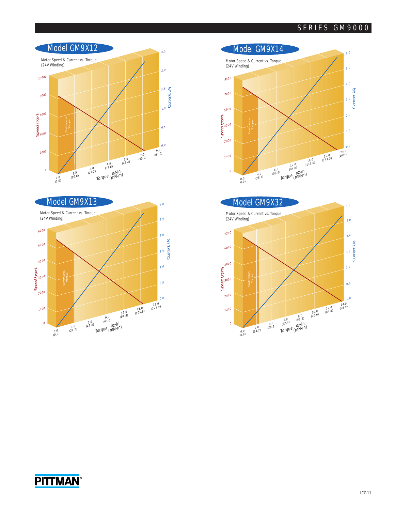







# **PITTMAN**®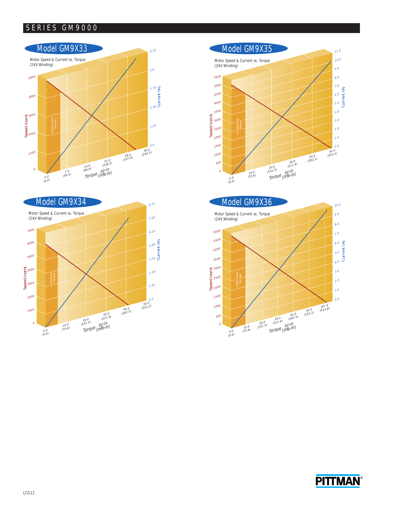









LCG-12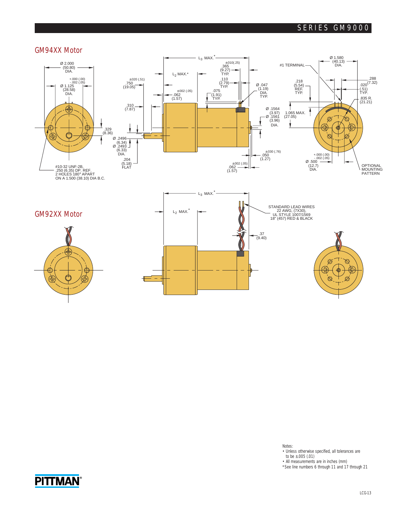#### GM94XX Motor



Notes:

• Unless otherwise specified, all tolerances are to be ±.005 (.01)

• All measurements are in inches (mm)

\*See line numbers 6 through 11 and 17 through 21

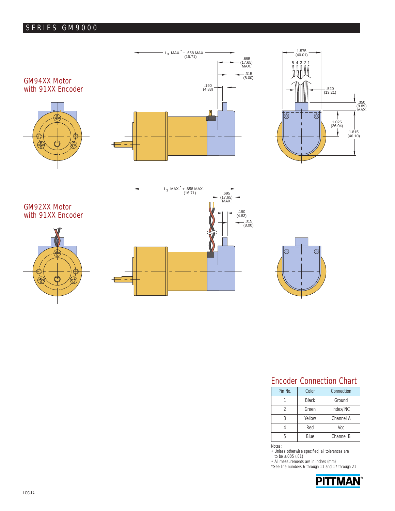GM94XX Motor with 91XX Encoder 靊 ④





GM92XX Motor with 91XX Encoder







## Encoder Connection Chart

| Pin No. | Color        | Connection |  |  |
|---------|--------------|------------|--|--|
|         | <b>Black</b> | Ground     |  |  |
| 2       | Green        | Index/NC   |  |  |
| 3       | Yellow       | Channel A  |  |  |
|         | Red          | Vcc        |  |  |
| 5       | Blue         | Channel B  |  |  |

Notes:

• Unless otherwise specified, all tolerances are

to be ±.005 (.01) • All measurements are in inches (mm)

\*See line numbers 6 through 11 and 17 through 21

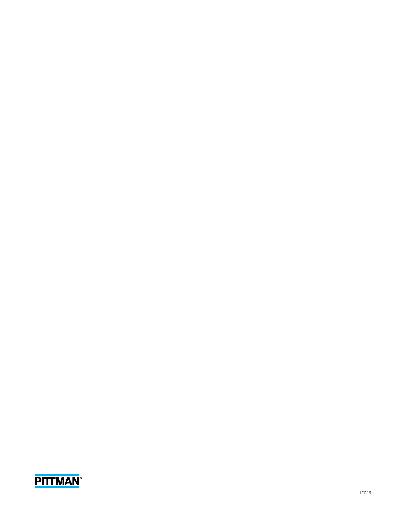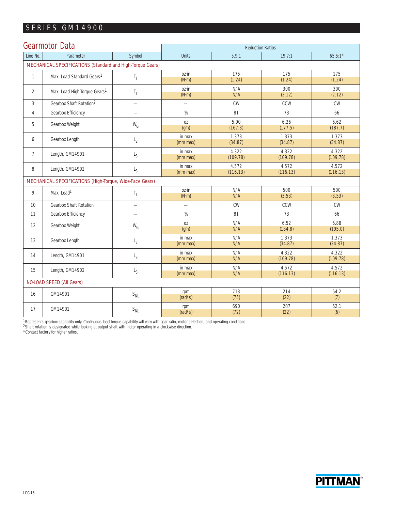|                | <b>Gearmotor Data</b>                                      |                           | <b>Reduction Ratios</b>  |                   |                   |                   |  |  |  |
|----------------|------------------------------------------------------------|---------------------------|--------------------------|-------------------|-------------------|-------------------|--|--|--|
| Line No.       | Parameter                                                  | Symbol                    | <b>Units</b>             | 5.9:1             | 19.7:1            | $65.5:1*$         |  |  |  |
|                | MECHANICAL SPECIFICATIONS (Standard and High-Torque Gears) |                           |                          |                   |                   |                   |  |  |  |
| $\mathbf{1}$   | Max. Load Standard Gears <sup>1</sup>                      | $\mathsf{T}_{\mathsf{L}}$ | $oz \cdot in$<br>(N·m)   | 175<br>(1.24)     | 175<br>(1.24)     | 175<br>(1.24)     |  |  |  |
| 2              | Max. Load High-Torque Gears <sup>1</sup>                   | $\mathsf{T}_{\mathsf{L}}$ | $oz \cdot in$<br>(N·m)   | N/A<br>N/A        | 300<br>(2.12)     | 300<br>(2.12)     |  |  |  |
| 3              | Gearbox Shaft Rotation <sup>2</sup>                        | $\overline{\phantom{0}}$  | $\overline{\phantom{0}}$ | CW                | CCW               | <b>CW</b>         |  |  |  |
| $\overline{4}$ | Gearbox Efficiency                                         | $\overline{\phantom{0}}$  | %                        | 81                | 73                | 66                |  |  |  |
| 5              | Gearbox Weight                                             | $W_G$                     | OZ<br>(gm)               | 5.90<br>(167.3)   | 6.26<br>(177.5)   | 6.62<br>(187.7)   |  |  |  |
| 6              | Gearbox Length                                             | $L_2$                     | in max<br>(mm max)       | 1.373<br>(34.87)  | 1.373<br>(34.87)  | 1.373<br>(34.87)  |  |  |  |
| $\overline{7}$ | Length, GM14901                                            | $L_3$                     | in max<br>(mm max)       | 4.322<br>(109.78) | 4.322<br>(109.78) | 4.322<br>(109.78) |  |  |  |
| 8              | Length, GM14902                                            | $L_3$                     | in max<br>(mm max)       | 4.572<br>(116.13) | 4.572<br>(116.13) | 4.572<br>(116.13) |  |  |  |
|                | MECHANICAL SPECIFICATIONS (High-Torque, Wide-Face Gears)   |                           |                          |                   |                   |                   |  |  |  |
| 9              | Max. Load <sup>1</sup>                                     | $\mathsf{T}_{\mathsf{L}}$ | $oz \cdot in$<br>(N·m)   | N/A<br>N/A        | 500<br>(3.53)     | 500<br>(3.53)     |  |  |  |
| 10             | <b>Gearbox Shaft Rotation</b>                              |                           | $\equiv$                 | <b>CW</b>         | CCW               | <b>CW</b>         |  |  |  |
| 11             | Gearbox Efficiency                                         |                           | $\%$                     | 81                | 73                | 66                |  |  |  |
| 12             | Gearbox Weight                                             | $W_G$                     | OZ<br>(gm)               | N/A<br>N/A        | 6.52<br>(184.8)   | 6.88<br>(195.0)   |  |  |  |
| 13             | Gearbox Length                                             | $L_2$                     | in max<br>(mm max)       | N/A<br>N/A        | 1.373<br>(34.87)  | 1.373<br>(34.87)  |  |  |  |
| 14             | Length, GM14901                                            | $L_3$                     | in max<br>(mm max)       | N/A<br>N/A        | 4.322<br>(109.78) | 4.322<br>(109.78) |  |  |  |
| 15             | Length, GM14902                                            | $L_3$                     | in max<br>(mm max)       | N/A<br>N/A        | 4.572<br>(116.13) | 4.572<br>(116.13) |  |  |  |
|                | <b>NO-LOAD SPEED (All Gears)</b>                           |                           |                          |                   |                   |                   |  |  |  |
| 16             | GM14901                                                    | $S_{NL}$                  | rpm<br>(rad/s)           | 713<br>(75)       | 214<br>(22)       | 64.2<br>(7)       |  |  |  |
| 17             | GM14902                                                    | $S_{NL}$                  | rpm<br>(rad/s)           | 690<br>(72)       | 207<br>(22)       | 62.1<br>(6)       |  |  |  |

<sup>1</sup>Represents gearbox capability only. Continuous load torque capability will vary with gear ratio, motor selection, and operating conditions.

2Shaft rotation is designated while looking at output shaft with motor operating in a clockwise direction.

\*Contact factory for higher ratios.

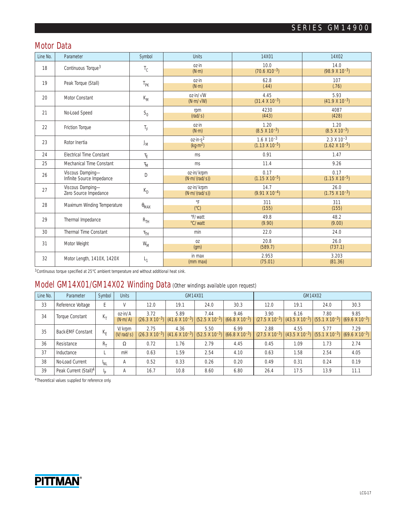#### Motor Data

| Line No. | Parameter                                     | Symbol                    | <b>Units</b>                              | 14X01                                      | 14X02                                           |
|----------|-----------------------------------------------|---------------------------|-------------------------------------------|--------------------------------------------|-------------------------------------------------|
| 18       | Continuous Torque <sup>3</sup>                | $T_{\rm C}$               | $oz \cdot in$<br>(N·m)                    | 10.0<br>$(70.6 \text{ X}10^{-3})$          | 14.0<br>$(98.9 \times 10^{-3})$                 |
| 19       | Peak Torque (Stall)                           | $T_{PK}$                  | $07 \cdot in$<br>(N·m)                    | 62.8<br>(.44)                              | 107<br>(.76)                                    |
| 20       | Motor Constant                                | $K_{\rm M}$               | $oz-in/\sqrt{W}$<br>$(N·m/\sqrt{W})$      | 4.45<br>$(31.4 \times 10^{-3})$            | 5.93<br>$(41.9 \times 10^{-3})$                 |
| 21       | No-Load Speed                                 | $S_0$                     | rpm<br>(rad/s)                            | 4230<br>(443)                              | 4087<br>(428)                                   |
| 22       | Friction Torque                               | $\mathsf{T}_{\mathsf{F}}$ | $oz \cdot in$<br>(N·m)                    | 1.20<br>$(8.5 \times 10^{-3})$             | 1.20<br>$(8.5 \times 10^{-3})$                  |
| 23       | Rotor Inertia                                 | $\mathsf{J}_{\mathsf{M}}$ | $07 \cdot in·s^2$<br>(kg·m <sup>2</sup> ) | $1.6 X 10^{-3}$<br>$(1.13 \times 10^{-5})$ | $2.3 \times 10^{-3}$<br>$(1.62 \times 10^{-5})$ |
| 24       | <b>Electrical Time Constant</b>               | $\tau_{\text{E}}$         | ms                                        | 0.91                                       | 1.47                                            |
| 25       | Mechanical Time Constant                      | $\tau_{\mathsf{M}}$       | <b>ms</b>                                 | 11.4                                       | 9.26                                            |
| 26       | Viscous Damping-<br>Infinite Source Impedance | D                         | oz· in/krpm<br>(N·m/(rad/s))              | 0.17<br>$(1.15 \times 10^{-5})$            | 0.17<br>$(1.15 \times 10^{-5})$                 |
| 27       | Viscous Damping-<br>Zero Source Impedance     | $K_D$                     | oz·in/krpm<br>(N·m/(rad/s))               | 14.7<br>$(9.91 \times 10^{-4})$            | 26.0<br>$(1.75 \times 10^{-3})$                 |
| 28       | Maximum Winding Temperature                   | $\theta_{MAX}$            | $\circ$ F<br>$(^{\circ}C)$                | 311<br>(155)                               | 311<br>(155)                                    |
| 29       | Thermal Impedance                             | R <sub>TH</sub>           | °F/watt<br>°C/watt                        | 49.8<br>(9.90)                             | 48.2<br>(9.00)                                  |
| 30       | <b>Thermal Time Constant</b>                  | $\tau$ <sub>TH</sub>      | min                                       | 22.0                                       | 24.0                                            |
| 31       | Motor Weight                                  | $\mathsf{W}_{\mathsf{M}}$ | OZ<br>(qm)                                | 20.8<br>(589.7)                            | 26.0<br>(737.1)                                 |
| 32       | Motor Length, 1410X, 1420X                    | $L_1$                     | in max<br>(mm max)                        | 2.953<br>(75.01)                           | 3.203<br>(81.36)                                |

3Continuous torque specified at 25°C ambient temperature and without additional heat sink.

# Model GM14X01/GM14X02 Winding Data (Other windings available upon request)

| Line No. | Parameter                         | Symbol          | <b>Units</b>        | GM14X01 |      |                                                                                                         | GM14X02 |      |      |      |                                                                                                         |
|----------|-----------------------------------|-----------------|---------------------|---------|------|---------------------------------------------------------------------------------------------------------|---------|------|------|------|---------------------------------------------------------------------------------------------------------|
| 33       | Reference Voltage                 |                 |                     | 12.0    | 19.1 | 24.0                                                                                                    | 30.3    | 12.0 | 19.1 | 24.0 | 30.3                                                                                                    |
| 34       | Torque Constant                   | $K_{\tau}$      | oz·in/A<br>(N·m/A)  | 3.72    | 5.89 | 7.44<br>$(26.3 \times 10^{-3})$ $(41.6 \times 10^{-3})$ $(52.5 \times 10^{-3})$ $(66.8 \times 10^{-3})$ | 9.46    | 3.90 | 6.16 | 7.80 | 9.85<br>$(27.5 \times 10^{-3})$ $(43.5 \times 10^{-3})$ $(55.1 \times 10^{-3})$ $(69.6 \times 10^{-3})$ |
| 35       | <b>Back-EMF Constant</b>          | $K_F$           | V/krpm<br>(V/rad/s) | 2.75    | 4.36 | 5.50<br>$(26.3 \times 10^{-3})$ $(41.6 \times 10^{-3})$ $(52.5 \times 10^{-3})$ $(66.8 \times 10^{-3})$ | 6.99    | 2.88 | 4.55 | 5.77 | 7.29<br>$(27.5 \times 10^{-3})$ $(43.5 \times 10^{-3})$ $(55.1 \times 10^{-3})$ $(69.6 \times 10^{-3})$ |
| 36       | Resistance                        | $R_{\tau}$      | Ω                   | 0.72    | 1.76 | 2.79                                                                                                    | 4.45    | 0.45 | 1.09 | 1.73 | 2.74                                                                                                    |
| 37       | Inductance                        |                 | mH                  | 0.63    | 1.59 | 2.54                                                                                                    | 4.10    | 0.63 | 1.58 | 2.54 | 4.05                                                                                                    |
| 38       | No-Load Current                   | <sup>I</sup> NI | Α                   | 0.52    | 0.33 | 0.26                                                                                                    | 0.20    | 0.49 | 0.31 | 0.24 | 0.19                                                                                                    |
| 39       | Peak Current (Stall) <sup>4</sup> | In              | А                   | 16.7    | 10.8 | 8.60                                                                                                    | 6.80    | 26.4 | 17.5 | 13.9 | 11.1                                                                                                    |

4Theoretical values supplied for reference only.

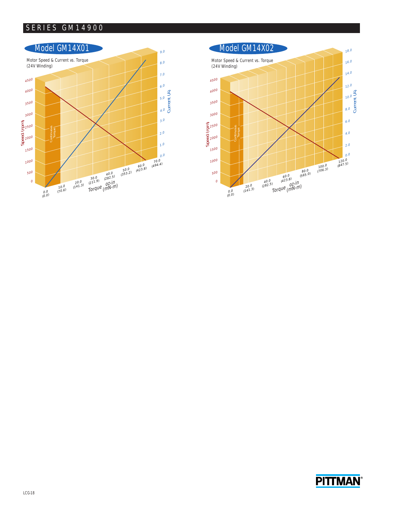



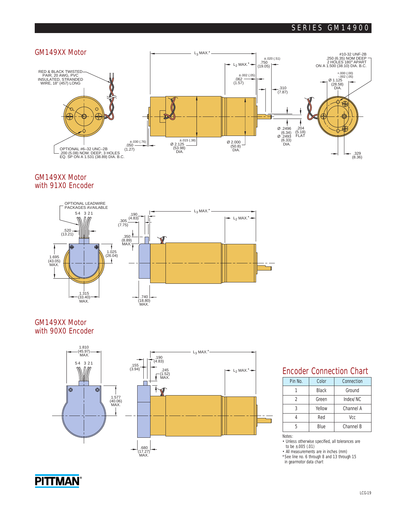

GM149XX Motor with 91X0 Encoder



#### GM149XX Motor with 90X0 Encoder



#### Encoder Connection Chart

| Pin No.        | Color        | Connection |  |  |
|----------------|--------------|------------|--|--|
|                | <b>Black</b> | Ground     |  |  |
| $\mathfrak{D}$ | Green        | Index/NC   |  |  |
| 3              | Yellow       | Channel A  |  |  |
|                | Red          | Vcc        |  |  |
| Ҕ              | Blue         | Channel B  |  |  |

Notes:

• Unless otherwise specified, all tolerances are to be  $\pm .005$  (.01)

• All measurements are in inches (mm) \*See line no. 6 through 8 and 13 through 15 in gearmotor data chart